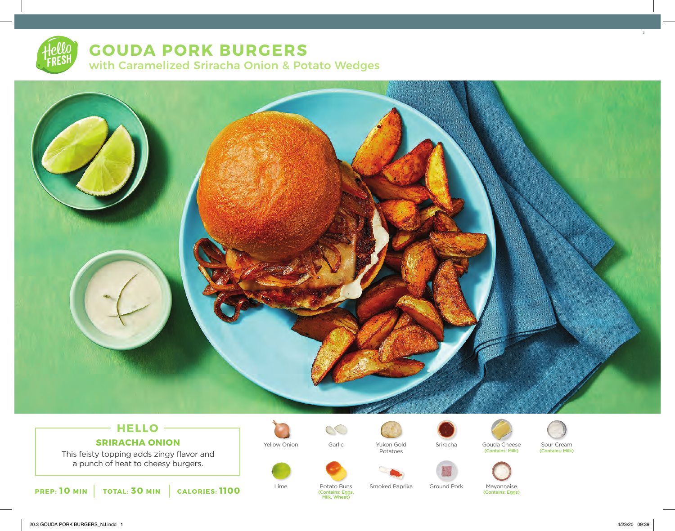# **GOUDA PORK BURGERS** with Caramelized Sriracha Onion & Potato Wedges



# **HELLO SRIRACHA ONION**

This feisty topping adds zingy flavor and a punch of heat to cheesy burgers.







 $\circlearrowright$ 

Potatoes





Yellow Onion Yukon Gold Sriracha Sour Cream Garlic Gouda Cheese Gouda Cheese Sour Cream<br>(Contains: Milk) (Contains: Milk)





Lime Potato Buns Smoked Paprika Ground Pork Mayonnaise<br>Contains: Eggs, Contains: Eggs) (Contains: Eggs, (Contains: Eggs) Milk, Wheat)

3